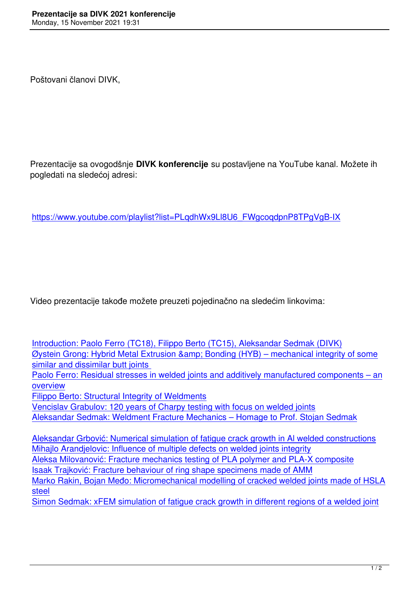Prezentacije sa ovogodšnje **DIVK konferencije** su postavljene na YouTube kanal. Možete ih pogledati na sledećoj adresi:

https://www.youtube.com/playlist?list=PLqdhWx9Ll8U6\_FWgcoqdpnP8TPgVgB-IX

Video prezentacije takođe možete preuzeti pojedinačno na sledećim linkovima:

| Introduction: Paolo Ferro (TC18), Filippo Berto (TC15), Aleksandar Sedmak (DIVK)             |
|----------------------------------------------------------------------------------------------|
| Øystein Grong: Hybrid Metal Extrusion & Bonding (HYB) – mechanical integrity of some         |
| similar and dissimilar butt joints                                                           |
| Paolo Ferro: Residual stresses in welded joints and additively manufactured components – an  |
| overview                                                                                     |
| <b>Filippo Berto: Structural Integrity of Weldments</b>                                      |
| Vencislav Grabulov: 120 years of Charpy testing with focus on welded joints                  |
| Aleksandar Sedmak: Weldment Fracture Mechanics - Homage to Prof. Stojan Sedmak               |
|                                                                                              |
| Aleksandar Grbović: Numerical simulation of fatigue crack growth in Al welded constructions  |
| Mihajlo Arandjelovic: Influence of multiple defects on welded joints integrity               |
| Aleksa Milovanović: Fracture mechanics testing of PLA polymer and PLA-X composite            |
| Isaak Trajković: Fracture behaviour of ring shape specimens made of AMM                      |
| Marko Rakin, Bojan Međo: Micromechanical modelling of cracked welded joints made of HSLA     |
| steel                                                                                        |
| Simon Sedmak: xFEM simulation of fatigue crack growth in different regions of a welded joint |